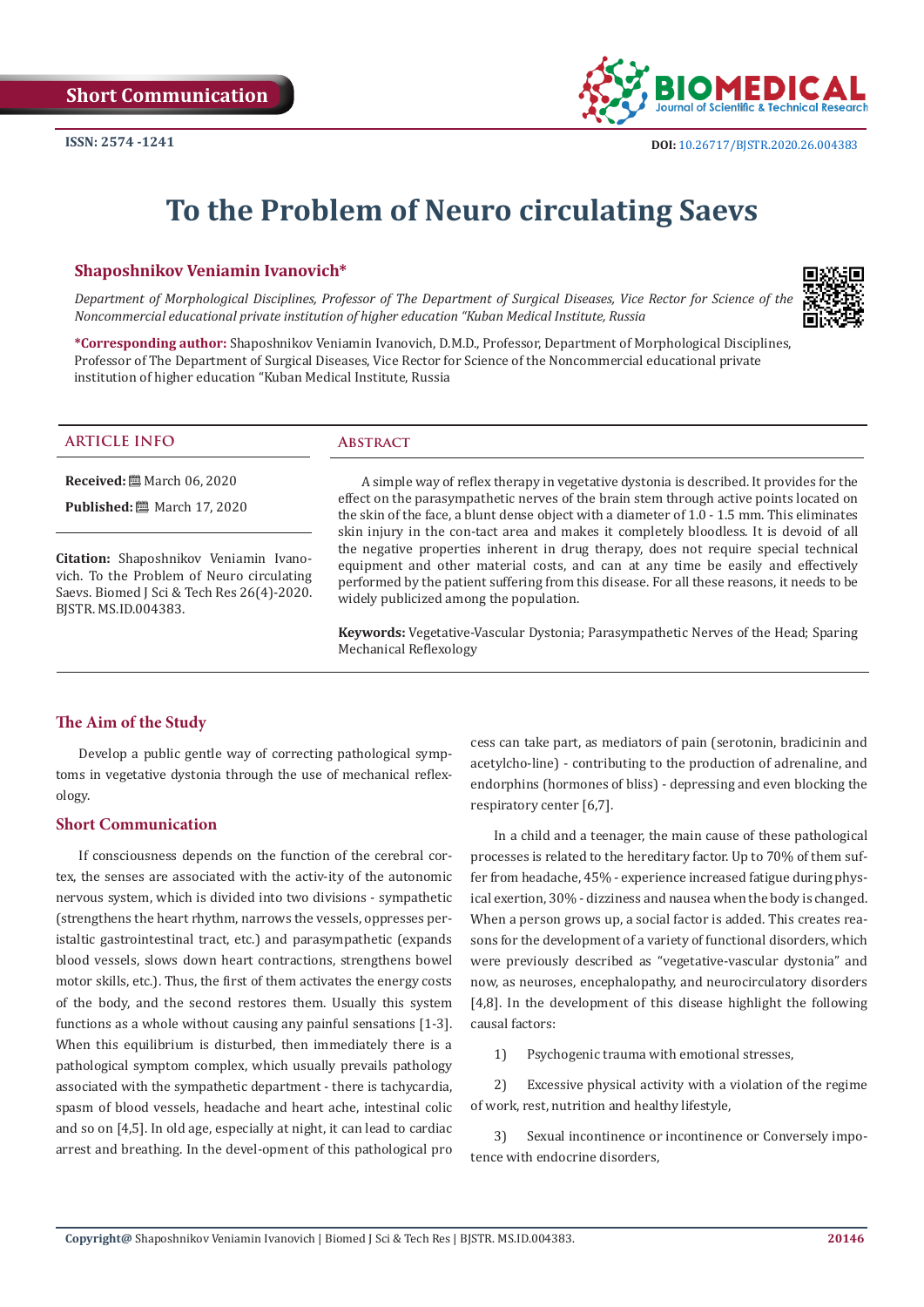

# **To the Problem of Neuro circulating Saevs**

## **Shaposhnikov Veniamin Ivanovich\***

*Department of Morphological Disciplines, Professor of The Department of Surgical Diseases, Vice Rector for Science of the Noncommercial educational private institution of higher education "Kuban Medical Institute, Russia*



**\*Corresponding author:** Shaposhnikov Veniamin Ivanovich, D.M.D., Professor, Department of Morphological Disciplines, Professor of The Department of Surgical Diseases, Vice Rector for Science of the Noncommercial educational private institution of higher education "Kuban Medical Institute, Russia

#### **ARTICLE INFO Abstract**

**Received:** March 06, 2020

**Published:** ■ March 17, 2020

**Citation:** Shaposhnikov Veniamin Ivanovich. To the Problem of Neuro circulating Saevs. Biomed J Sci & Tech Res 26(4)-2020. BJSTR. MS.ID.004383.

A simple way of reflex therapy in vegetative dystonia is described. It provides for the effect on the parasympathetic nerves of the brain stem through active points located on the skin of the face, a blunt dense object with a diameter of 1.0 - 1.5 mm. This eliminates skin injury in the con-tact area and makes it completely bloodless. It is devoid of all the negative properties inherent in drug therapy, does not require special technical equipment and other material costs, and can at any time be easily and effectively performed by the patient suffering from this disease. For all these reasons, it needs to be widely publicized among the population.

**Keywords:** Vegetative-Vascular Dystonia; Parasympathetic Nerves of the Head; Sparing Mechanical Reflexology

### **The Aim of the Study**

Develop a public gentle way of correcting pathological symptoms in vegetative dystonia through the use of mechanical reflexology.

#### **Short Communication**

If consciousness depends on the function of the cerebral cortex, the senses are associated with the activ-ity of the autonomic nervous system, which is divided into two divisions - sympathetic (strengthens the heart rhythm, narrows the vessels, oppresses peristaltic gastrointestinal tract, etc.) and parasympathetic (expands blood vessels, slows down heart contractions, strengthens bowel motor skills, etc.). Thus, the first of them activates the energy costs of the body, and the second restores them. Usually this system functions as a whole without causing any painful sensations [1-3]. When this equilibrium is disturbed, then immediately there is a pathological symptom complex, which usually prevails pathology associated with the sympathetic department - there is tachycardia, spasm of blood vessels, headache and heart ache, intestinal colic and so on [4,5]. In old age, especially at night, it can lead to cardiac arrest and breathing. In the devel-opment of this pathological pro

cess can take part, as mediators of pain (serotonin, bradicinin and acetylcho-line) - contributing to the production of adrenaline, and endorphins (hormones of bliss) - depressing and even blocking the respiratory center [6,7].

In a child and a teenager, the main cause of these pathological processes is related to the hereditary factor. Up to 70% of them suffer from headache, 45% - experience increased fatigue during physical exertion, 30% - dizziness and nausea when the body is changed. When a person grows up, a social factor is added. This creates reasons for the development of a variety of functional disorders, which were previously described as "vegetative-vascular dystonia" and now, as neuroses, encephalopathy, and neurocirculatory disorders [4,8]. In the development of this disease highlight the following causal factors:

1) Psychogenic trauma with emotional stresses,

2) Excessive physical activity with a violation of the regime of work, rest, nutrition and healthy lifestyle,

3) Sexual incontinence or incontinence or Conversely impotence with endocrine disorders,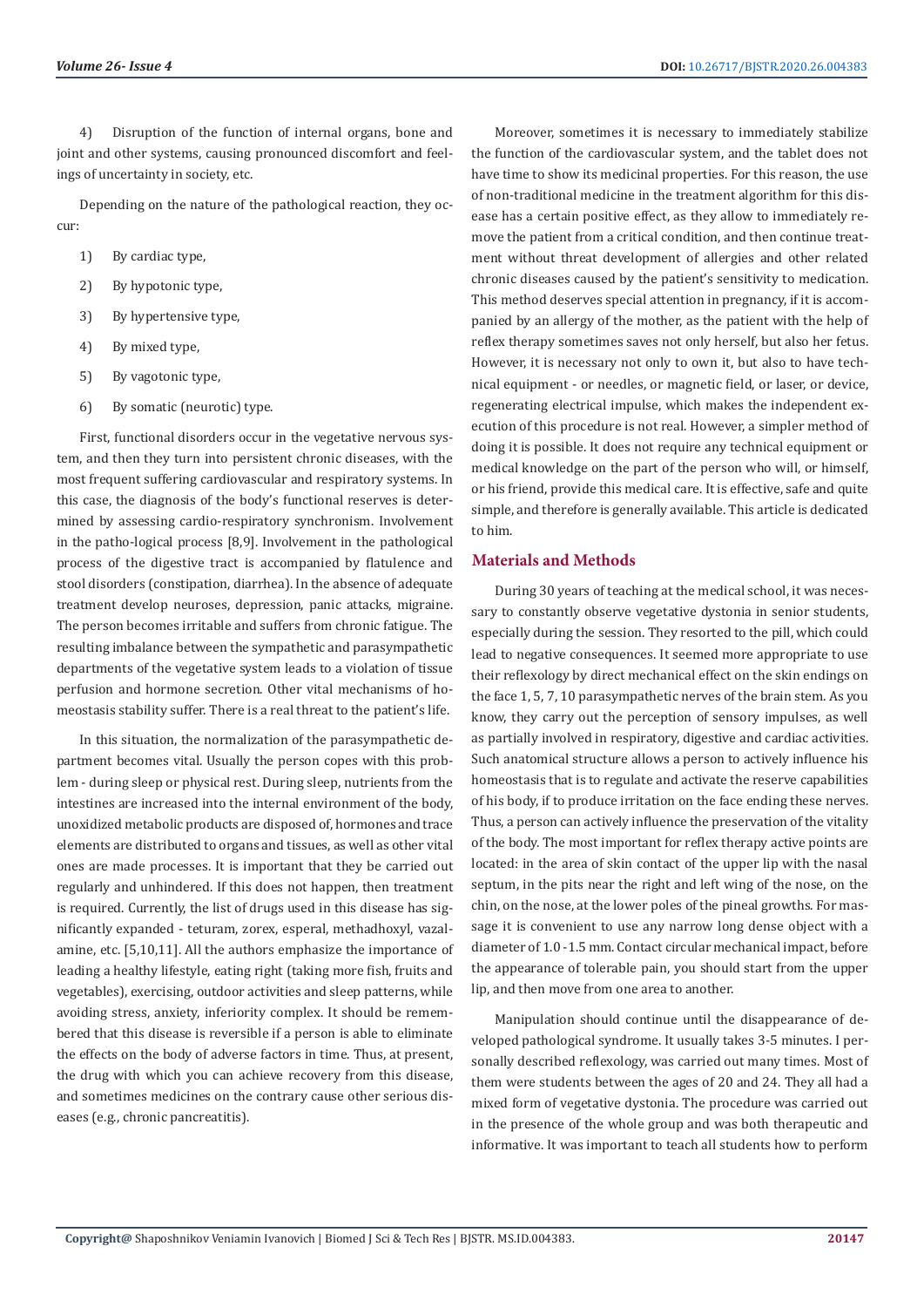4) Disruption of the function of internal organs, bone and joint and other systems, causing pronounced discomfort and feelings of uncertainty in society, etc.

Depending on the nature of the pathological reaction, they occur:

- 1) By cardiac type,
- 2) By hypotonic type,
- 3) By hypertensive type,
- 4) By mixed type,
- 5) By vagotonic type,
- 6) By somatic (neurotic) type.

First, functional disorders occur in the vegetative nervous system, and then they turn into persistent chronic diseases, with the most frequent suffering cardiovascular and respiratory systems. In this case, the diagnosis of the body's functional reserves is determined by assessing cardio-respiratory synchronism. Involvement in the patho-logical process [8,9]. Involvement in the pathological process of the digestive tract is accompanied by flatulence and stool disorders (constipation, diarrhea). In the absence of adequate treatment develop neuroses, depression, panic attacks, migraine. The person becomes irritable and suffers from chronic fatigue. The resulting imbalance between the sympathetic and parasympathetic departments of the vegetative system leads to a violation of tissue perfusion and hormone secretion. Other vital mechanisms of homeostasis stability suffer. There is a real threat to the patient's life.

In this situation, the normalization of the parasympathetic department becomes vital. Usually the person copes with this problem - during sleep or physical rest. During sleep, nutrients from the intestines are increased into the internal environment of the body, unoxidized metabolic products are disposed of, hormones and trace elements are distributed to organs and tissues, as well as other vital ones are made processes. It is important that they be carried out regularly and unhindered. If this does not happen, then treatment is required. Currently, the list of drugs used in this disease has significantly expanded - teturam, zorex, esperal, methadhoxyl, vazalamine, etc. [5,10,11]. All the authors emphasize the importance of leading a healthy lifestyle, eating right (taking more fish, fruits and vegetables), exercising, outdoor activities and sleep patterns, while avoiding stress, anxiety, inferiority complex. It should be remembered that this disease is reversible if a person is able to eliminate the effects on the body of adverse factors in time. Thus, at present, the drug with which you can achieve recovery from this disease, and sometimes medicines on the contrary cause other serious diseases (e.g., chronic pancreatitis).

Moreover, sometimes it is necessary to immediately stabilize the function of the cardiovascular system, and the tablet does not have time to show its medicinal properties. For this reason, the use of non-traditional medicine in the treatment algorithm for this disease has a certain positive effect, as they allow to immediately remove the patient from a critical condition, and then continue treatment without threat development of allergies and other related chronic diseases caused by the patient's sensitivity to medication. This method deserves special attention in pregnancy, if it is accompanied by an allergy of the mother, as the patient with the help of reflex therapy sometimes saves not only herself, but also her fetus. However, it is necessary not only to own it, but also to have technical equipment - or needles, or magnetic field, or laser, or device, regenerating electrical impulse, which makes the independent execution of this procedure is not real. However, a simpler method of doing it is possible. It does not require any technical equipment or medical knowledge on the part of the person who will, or himself, or his friend, provide this medical care. It is effective, safe and quite simple, and therefore is generally available. This article is dedicated to him.

### **Materials and Methods**

During 30 years of teaching at the medical school, it was necessary to constantly observe vegetative dystonia in senior students, especially during the session. They resorted to the pill, which could lead to negative consequences. It seemed more appropriate to use their reflexology by direct mechanical effect on the skin endings on the face 1, 5, 7, 10 parasympathetic nerves of the brain stem. As you know, they carry out the perception of sensory impulses, as well as partially involved in respiratory, digestive and cardiac activities. Such anatomical structure allows a person to actively influence his homeostasis that is to regulate and activate the reserve capabilities of his body, if to produce irritation on the face ending these nerves. Thus, a person can actively influence the preservation of the vitality of the body. The most important for reflex therapy active points are located: in the area of skin contact of the upper lip with the nasal septum, in the pits near the right and left wing of the nose, on the chin, on the nose, at the lower poles of the pineal growths. For massage it is convenient to use any narrow long dense object with a diameter of 1.0 -1.5 mm. Contact circular mechanical impact, before the appearance of tolerable pain, you should start from the upper lip, and then move from one area to another.

Manipulation should continue until the disappearance of developed pathological syndrome. It usually takes 3-5 minutes. I personally described reflexology, was carried out many times. Most of them were students between the ages of 20 and 24. They all had a mixed form of vegetative dystonia. The procedure was carried out in the presence of the whole group and was both therapeutic and informative. It was important to teach all students how to perform